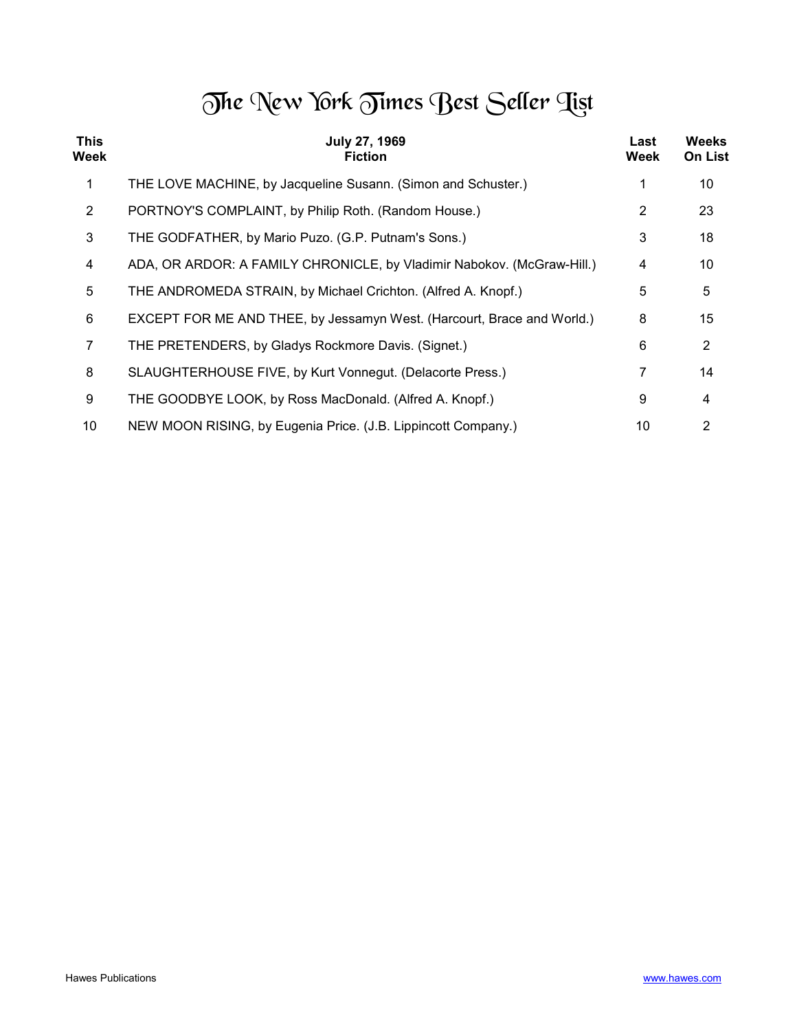## The New York Times Best Seller Tist

| <b>This</b><br>Week | <b>July 27, 1969</b><br><b>Fiction</b>                                 | Last<br>Week | Weeks<br><b>On List</b> |
|---------------------|------------------------------------------------------------------------|--------------|-------------------------|
| 1                   | THE LOVE MACHINE, by Jacqueline Susann. (Simon and Schuster.)          |              | 10                      |
| $\overline{2}$      | PORTNOY'S COMPLAINT, by Philip Roth. (Random House.)                   | 2            | 23                      |
| 3                   | THE GODFATHER, by Mario Puzo. (G.P. Putnam's Sons.)                    | 3            | 18                      |
| 4                   | ADA, OR ARDOR: A FAMILY CHRONICLE, by Vladimir Nabokov. (McGraw-Hill.) | 4            | 10                      |
| 5                   | THE ANDROMEDA STRAIN, by Michael Crichton. (Alfred A. Knopf.)          | 5            | 5                       |
| 6                   | EXCEPT FOR ME AND THEE, by Jessamyn West. (Harcourt, Brace and World.) | 8            | 15                      |
| 7                   | THE PRETENDERS, by Gladys Rockmore Davis. (Signet.)                    | 6            | $\overline{2}$          |
| 8                   | SLAUGHTERHOUSE FIVE, by Kurt Vonnegut. (Delacorte Press.)              | 7            | 14                      |
| 9                   | THE GOODBYE LOOK, by Ross MacDonald. (Alfred A. Knopf.)                | 9            | 4                       |
| 10                  | NEW MOON RISING, by Eugenia Price. (J.B. Lippincott Company.)          | 10           | 2                       |